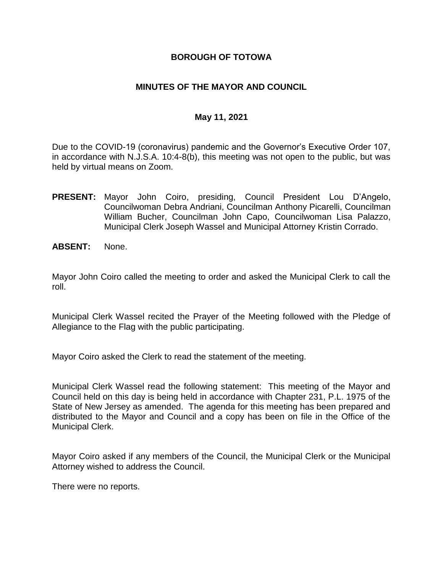### **BOROUGH OF TOTOWA**

### **MINUTES OF THE MAYOR AND COUNCIL**

#### **May 11, 2021**

Due to the COVID-19 (coronavirus) pandemic and the Governor's Executive Order 107, in accordance with N.J.S.A. 10:4-8(b), this meeting was not open to the public, but was held by virtual means on Zoom.

- **PRESENT:** Mayor John Coiro, presiding, Council President Lou D'Angelo, Councilwoman Debra Andriani, Councilman Anthony Picarelli, Councilman William Bucher, Councilman John Capo, Councilwoman Lisa Palazzo, Municipal Clerk Joseph Wassel and Municipal Attorney Kristin Corrado.
- **ABSENT:** None.

Mayor John Coiro called the meeting to order and asked the Municipal Clerk to call the roll.

Municipal Clerk Wassel recited the Prayer of the Meeting followed with the Pledge of Allegiance to the Flag with the public participating.

Mayor Coiro asked the Clerk to read the statement of the meeting.

Municipal Clerk Wassel read the following statement: This meeting of the Mayor and Council held on this day is being held in accordance with Chapter 231, P.L. 1975 of the State of New Jersey as amended. The agenda for this meeting has been prepared and distributed to the Mayor and Council and a copy has been on file in the Office of the Municipal Clerk.

Mayor Coiro asked if any members of the Council, the Municipal Clerk or the Municipal Attorney wished to address the Council.

There were no reports.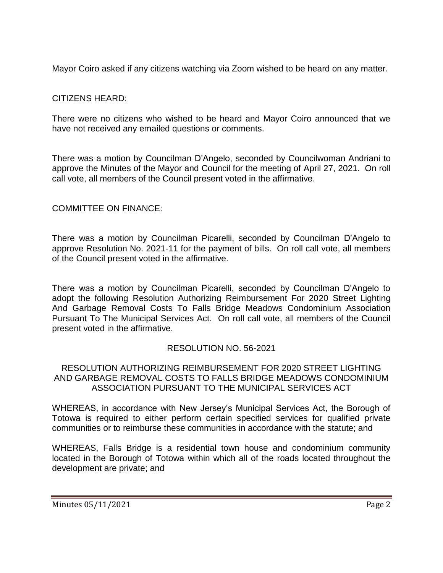Mayor Coiro asked if any citizens watching via Zoom wished to be heard on any matter.

## CITIZENS HEARD:

There were no citizens who wished to be heard and Mayor Coiro announced that we have not received any emailed questions or comments.

There was a motion by Councilman D'Angelo, seconded by Councilwoman Andriani to approve the Minutes of the Mayor and Council for the meeting of April 27, 2021. On roll call vote, all members of the Council present voted in the affirmative.

## COMMITTEE ON FINANCE:

There was a motion by Councilman Picarelli, seconded by Councilman D'Angelo to approve Resolution No. 2021-11 for the payment of bills. On roll call vote, all members of the Council present voted in the affirmative.

There was a motion by Councilman Picarelli, seconded by Councilman D'Angelo to adopt the following Resolution Authorizing Reimbursement For 2020 Street Lighting And Garbage Removal Costs To Falls Bridge Meadows Condominium Association Pursuant To The Municipal Services Act. On roll call vote, all members of the Council present voted in the affirmative.

## RESOLUTION NO. 56-2021

#### RESOLUTION AUTHORIZING REIMBURSEMENT FOR 2020 STREET LIGHTING AND GARBAGE REMOVAL COSTS TO FALLS BRIDGE MEADOWS CONDOMINIUM ASSOCIATION PURSUANT TO THE MUNICIPAL SERVICES ACT

WHEREAS, in accordance with New Jersey's Municipal Services Act, the Borough of Totowa is required to either perform certain specified services for qualified private communities or to reimburse these communities in accordance with the statute; and

WHEREAS, Falls Bridge is a residential town house and condominium community located in the Borough of Totowa within which all of the roads located throughout the development are private; and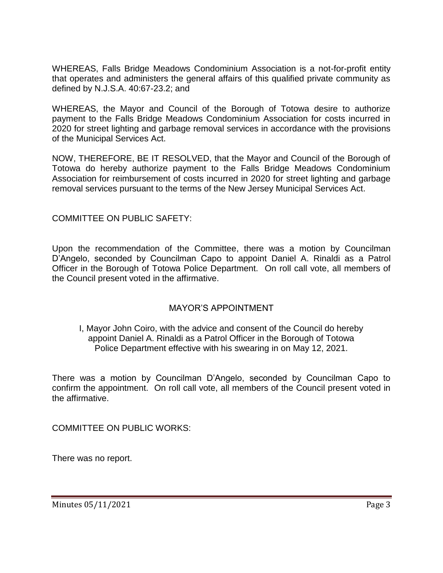WHEREAS, Falls Bridge Meadows Condominium Association is a not-for-profit entity that operates and administers the general affairs of this qualified private community as defined by N.J.S.A. 40:67-23.2; and

WHEREAS, the Mayor and Council of the Borough of Totowa desire to authorize payment to the Falls Bridge Meadows Condominium Association for costs incurred in 2020 for street lighting and garbage removal services in accordance with the provisions of the Municipal Services Act.

NOW, THEREFORE, BE IT RESOLVED, that the Mayor and Council of the Borough of Totowa do hereby authorize payment to the Falls Bridge Meadows Condominium Association for reimbursement of costs incurred in 2020 for street lighting and garbage removal services pursuant to the terms of the New Jersey Municipal Services Act.

COMMITTEE ON PUBLIC SAFETY:

Upon the recommendation of the Committee, there was a motion by Councilman D'Angelo, seconded by Councilman Capo to appoint Daniel A. Rinaldi as a Patrol Officer in the Borough of Totowa Police Department. On roll call vote, all members of the Council present voted in the affirmative.

### MAYOR'S APPOINTMENT

#### I, Mayor John Coiro, with the advice and consent of the Council do hereby appoint Daniel A. Rinaldi as a Patrol Officer in the Borough of Totowa Police Department effective with his swearing in on May 12, 2021.

There was a motion by Councilman D'Angelo, seconded by Councilman Capo to confirm the appointment. On roll call vote, all members of the Council present voted in the affirmative.

COMMITTEE ON PUBLIC WORKS:

There was no report.